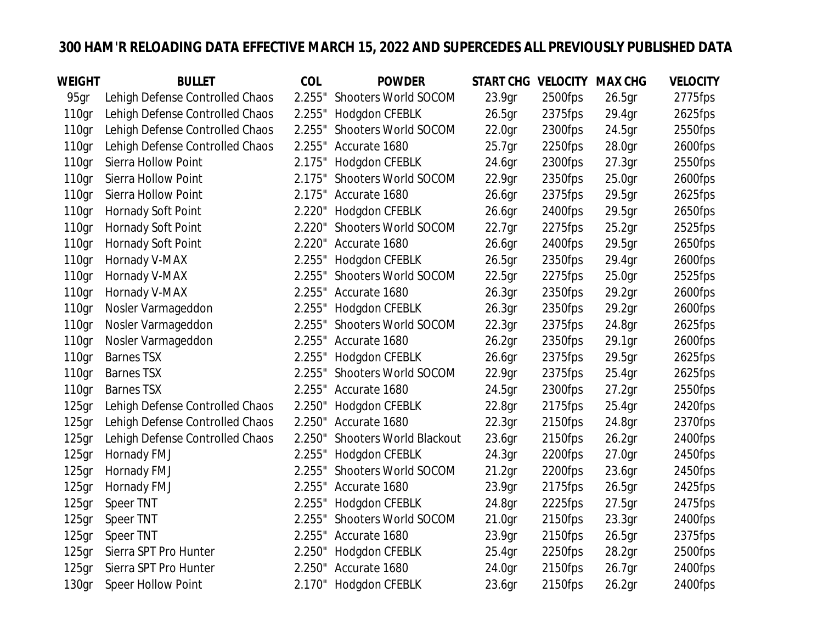## **300 HAM'R RELOADING DATA EFFECTIVE MARCH 15, 2022 AND SUPERCEDES ALL PREVIOUSLY PUBLISHED DATA**

| WEIGHT            | <b>BULLET</b>                   | COL    | <b>POWDER</b>                  | START CHG VELOCITY MAX CHG |         |                    | <b>VELOCITY</b> |
|-------------------|---------------------------------|--------|--------------------------------|----------------------------|---------|--------------------|-----------------|
| 95gr              | Lehigh Defense Controlled Chaos | 2.255" | Shooters World SOCOM           | 23.9gr                     | 2500fps | 26.5 <sub>gr</sub> | 2775fps         |
| 110gr             | Lehigh Defense Controlled Chaos | 2.255" | Hodgdon CFEBLK                 | 26.5gr                     | 2375fps | 29.4gr             | 2625fps         |
| 110gr             | Lehigh Defense Controlled Chaos | 2.255" | Shooters World SOCOM           | 22.0 <sub>gr</sub>         | 2300fps | 24.5gr             | 2550fps         |
| 110gr             | Lehigh Defense Controlled Chaos |        | 2.255" Accurate 1680           | 25.7 <sub>gr</sub>         | 2250fps | 28.0 <sub>gr</sub> | 2600fps         |
| 110gr             | Sierra Hollow Point             | 2.175" | Hodgdon CFEBLK                 | 24.6gr                     | 2300fps | 27.3 <sub>gr</sub> | 2550fps         |
| 110 <sub>gr</sub> | Sierra Hollow Point             | 2.175" | Shooters World SOCOM           | 22.9gr                     | 2350fps | 25.0 <sub>gr</sub> | 2600fps         |
| 110gr             | Sierra Hollow Point             |        | 2.175" Accurate 1680           | 26.6 <sub>gr</sub>         | 2375fps | 29.5gr             | 2625fps         |
| 110gr             | Hornady Soft Point              | 2.220" | Hodgdon CFEBLK                 | 26.6gr                     | 2400fps | 29.5gr             | 2650fps         |
| 110gr             | Hornady Soft Point              | 2.220" | Shooters World SOCOM           | 22.7gr                     | 2275fps | 25.2 <sub>gr</sub> | 2525fps         |
| 110gr             | Hornady Soft Point              | 2.220" | Accurate 1680                  | 26.6 <sub>gr</sub>         | 2400fps | 29.5gr             | 2650fps         |
| 110gr             | Hornady V-MAX                   | 2.255" | Hodgdon CFEBLK                 | 26.5 <sub>gr</sub>         | 2350fps | 29.4gr             | 2600fps         |
| 110gr             | Hornady V-MAX                   | 2.255" | Shooters World SOCOM           | 22.5 <sub>gr</sub>         | 2275fps | 25.0 <sub>gr</sub> | 2525fps         |
| 110gr             | Hornady V-MAX                   |        | 2.255" Accurate 1680           | 26.3gr                     | 2350fps | 29.2gr             | 2600fps         |
| 110gr             | Nosler Varmageddon              | 2.255" | Hodgdon CFEBLK                 | 26.3gr                     | 2350fps | 29.2 <sub>gr</sub> | 2600fps         |
| 110gr             | Nosler Varmageddon              | 2.255" | Shooters World SOCOM           | 22.3 <sub>gr</sub>         | 2375fps | 24.8gr             | 2625fps         |
| 110gr             | Nosler Varmageddon              |        | 2.255" Accurate 1680           | 26.2 <sub>gr</sub>         | 2350fps | 29.1 <sub>gr</sub> | 2600fps         |
| 110gr             | <b>Barnes TSX</b>               | 2.255" | Hodgdon CFEBLK                 | 26.6gr                     | 2375fps | 29.5gr             | 2625fps         |
| 110gr             | <b>Barnes TSX</b>               | 2.255" | Shooters World SOCOM           | 22.9gr                     | 2375fps | 25.4gr             | 2625fps         |
| 110gr             | <b>Barnes TSX</b>               |        | 2.255" Accurate 1680           | 24.5gr                     | 2300fps | 27.2 <sub>gr</sub> | 2550fps         |
| 125gr             | Lehigh Defense Controlled Chaos | 2.250" | Hodgdon CFEBLK                 | 22.8gr                     | 2175fps | 25.4gr             | 2420fps         |
| $125$ gr          | Lehigh Defense Controlled Chaos | 2.250" | Accurate 1680                  | 22.3 <sub>gr</sub>         | 2150fps | 24.8gr             | 2370fps         |
| 125 <sub>gr</sub> | Lehigh Defense Controlled Chaos | 2.250" | <b>Shooters World Blackout</b> | 23.6 <sub>gr</sub>         | 2150fps | 26.2 <sub>gr</sub> | 2400fps         |
| 125gr             | Hornady FMJ                     | 2.255" | Hodgdon CFEBLK                 | 24.3gr                     | 2200fps | 27.0gr             | 2450fps         |
| 125gr             | Hornady FMJ                     | 2.255" | Shooters World SOCOM           | 21.2 <sub>gr</sub>         | 2200fps | 23.6gr             | 2450fps         |
| $125$ gr          | Hornady FMJ                     | 2.255" | Accurate 1680                  | 23.9gr                     | 2175fps | 26.5 <sub>gr</sub> | 2425fps         |
| 125gr             | Speer TNT                       | 2.255" | Hodgdon CFEBLK                 | 24.8gr                     | 2225fps | 27.5gr             | 2475fps         |
| $125$ gr          | Speer TNT                       | 2.255" | Shooters World SOCOM           | 21.0 <sub>gr</sub>         | 2150fps | 23.3 <sub>gr</sub> | 2400fps         |
| $125$ gr          | Speer TNT                       | 2.255" | Accurate 1680                  | 23.9gr                     | 2150fps | 26.5gr             | 2375fps         |
| 125gr             | Sierra SPT Pro Hunter           | 2.250" | Hodgdon CFEBLK                 | 25.4gr                     | 2250fps | 28.2 <sub>gr</sub> | 2500fps         |
| 125 <sub>gr</sub> | Sierra SPT Pro Hunter           | 2.250" | Accurate 1680                  | 24.0gr                     | 2150fps | 26.7gr             | 2400fps         |
| 130gr             | Speer Hollow Point              | 2.170" | Hodgdon CFEBLK                 | 23.6gr                     | 2150fps | 26.2 <sub>gr</sub> | 2400fps         |